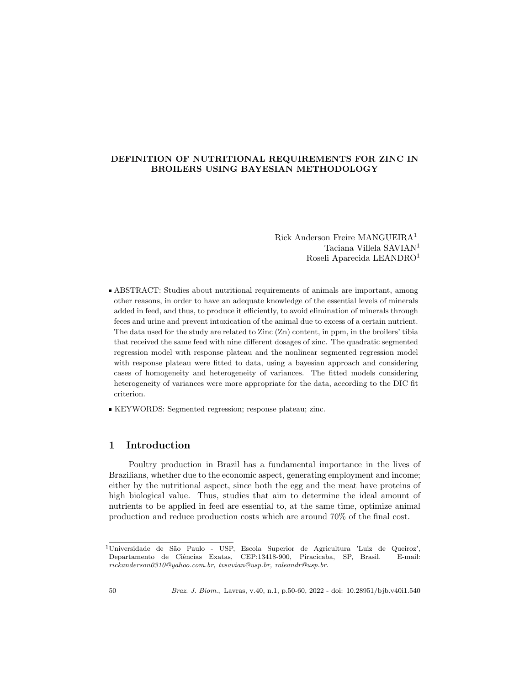## DEFINITION OF NUTRITIONAL REQUIREMENTS FOR ZINC IN BROILERS USING BAYESIAN METHODOLOGY

Rick Anderson Freire MANGUEIRA<sup>1</sup> Taciana Villela SAVIAN<sup>1</sup> Roseli Aparecida LEANDRO<sup>1</sup>

ABSTRACT: Studies about nutritional requirements of animals are important, among other reasons, in order to have an adequate knowledge of the essential levels of minerals added in feed, and thus, to produce it efficiently, to avoid elimination of minerals through feces and urine and prevent intoxication of the animal due to excess of a certain nutrient. The data used for the study are related to Zinc (Zn) content, in ppm, in the broilers' tibia that received the same feed with nine different dosages of zinc. The quadratic segmented regression model with response plateau and the nonlinear segmented regression model with response plateau were fitted to data, using a bayesian approach and considering cases of homogeneity and heterogeneity of variances. The fitted models considering heterogeneity of variances were more appropriate for the data, according to the DIC fit criterion.

KEYWORDS: Segmented regression; response plateau; zinc.

## 1 Introduction

Poultry production in Brazil has a fundamental importance in the lives of Brazilians, whether due to the economic aspect, generating employment and income; either by the nutritional aspect, since both the egg and the meat have proteins of high biological value. Thus, studies that aim to determine the ideal amount of nutrients to be applied in feed are essential to, at the same time, optimize animal production and reduce production costs which are around 70% of the final cost.

 $1$ Universidade de São Paulo - USP, Escola Superior de Agricultura 'Luiz de Queiroz', Departamento de Ciências Exatas, CEP:13418-900, Piracicaba, SP, Brasil. E-mail: rickanderson0310@yahoo.com.br, tvsavian@usp.br, raleandr@usp.br.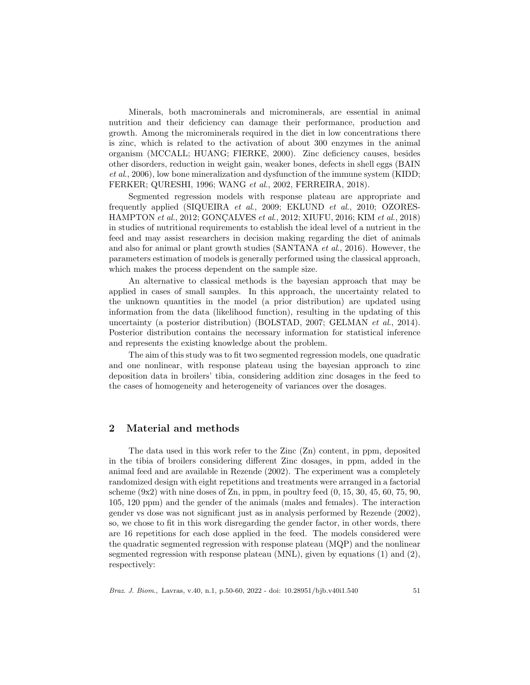Minerals, both macrominerals and microminerals, are essential in animal nutrition and their deficiency can damage their performance, production and growth. Among the microminerals required in the diet in low concentrations there is zinc, which is related to the activation of about 300 enzymes in the animal organism (MCCALL; HUANG; FIERKE, 2000). Zinc deficiency causes, besides other disorders, reduction in weight gain, weaker bones, defects in shell eggs (BAIN et al., 2006), low bone mineralization and dysfunction of the immune system (KIDD; FERKER; QURESHI, 1996; WANG et al., 2002, FERREIRA, 2018).

Segmented regression models with response plateau are appropriate and frequently applied (SIQUEIRA et al., 2009; EKLUND et al., 2010; OZORES-HAMPTON et al., 2012; GONÇALVES et al., 2012; XIUFU, 2016; KIM et al., 2018) in studies of nutritional requirements to establish the ideal level of a nutrient in the feed and may assist researchers in decision making regarding the diet of animals and also for animal or plant growth studies (SANTANA et al., 2016). However, the parameters estimation of models is generally performed using the classical approach, which makes the process dependent on the sample size.

An alternative to classical methods is the bayesian approach that may be applied in cases of small samples. In this approach, the uncertainty related to the unknown quantities in the model (a prior distribution) are updated using information from the data (likelihood function), resulting in the updating of this uncertainty (a posterior distribution) (BOLSTAD, 2007; GELMAN et al., 2014). Posterior distribution contains the necessary information for statistical inference and represents the existing knowledge about the problem.

The aim of this study was to fit two segmented regression models, one quadratic and one nonlinear, with response plateau using the bayesian approach to zinc deposition data in broilers' tibia, considering addition zinc dosages in the feed to the cases of homogeneity and heterogeneity of variances over the dosages.

#### 2 Material and methods

The data used in this work refer to the Zinc (Zn) content, in ppm, deposited in the tibia of broilers considering different Zinc dosages, in ppm, added in the animal feed and are available in Rezende (2002). The experiment was a completely randomized design with eight repetitions and treatments were arranged in a factorial scheme  $(9x2)$  with nine doses of Zn, in ppm, in poultry feed  $(0, 15, 30, 45, 60, 75, 90,$ 105, 120 ppm) and the gender of the animals (males and females). The interaction gender vs dose was not significant just as in analysis performed by Rezende (2002), so, we chose to fit in this work disregarding the gender factor, in other words, there are 16 repetitions for each dose applied in the feed. The models considered were the quadratic segmented regression with response plateau (MQP) and the nonlinear segmented regression with response plateau (MNL), given by equations (1) and (2), respectively:

Braz. J. Biom., Lavras, v.40, n.1, p.50-60, 2022 - doi: 10.28951/bjb.v40i1.540 51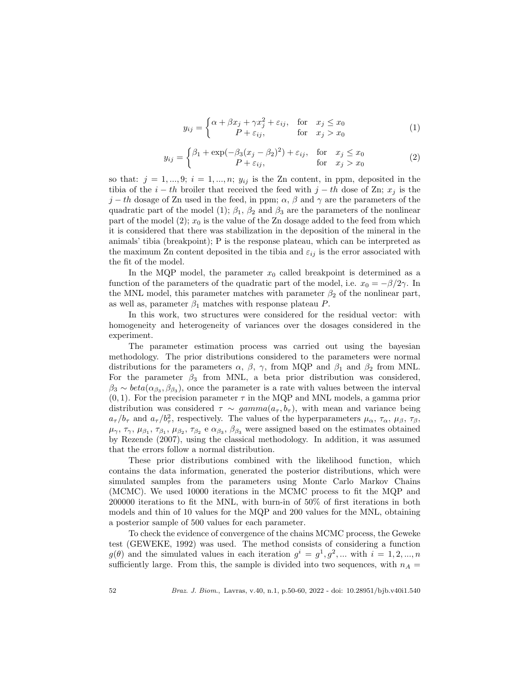$$
y_{ij} = \begin{cases} \alpha + \beta x_j + \gamma x_j^2 + \varepsilon_{ij}, & \text{for} \quad x_j \le x_0 \\ P + \varepsilon_{ij}, & \text{for} \quad x_j > x_0 \end{cases}
$$
 (1)

$$
y_{ij} = \begin{cases} \beta_1 + \exp(-\beta_3(x_j - \beta_2)^2) + \varepsilon_{ij}, & \text{for} \quad x_j \le x_0 \\ P + \varepsilon_{ij}, & \text{for} \quad x_j > x_0 \end{cases}
$$
 (2)

so that:  $j = 1, ..., 9; i = 1, ..., n; y_{ij}$  is the Zn content, in ppm, deposited in the tibia of the  $i - th$  broiler that received the feed with  $j - th$  dose of Zn;  $x_j$  is the j − th dosage of Zn used in the feed, in ppm;  $\alpha$ ,  $\beta$  and  $\gamma$  are the parameters of the quadratic part of the model (1);  $\beta_1$ ,  $\beta_2$  and  $\beta_3$  are the parameters of the nonlinear part of the model  $(2); x_0$  is the value of the Zn dosage added to the feed from which it is considered that there was stabilization in the deposition of the mineral in the animals' tibia (breakpoint); P is the response plateau, which can be interpreted as the maximum Zn content deposited in the tibia and  $\varepsilon_{ij}$  is the error associated with the fit of the model.

In the MQP model, the parameter  $x_0$  called breakpoint is determined as a function of the parameters of the quadratic part of the model, i.e.  $x_0 = -\beta/2\gamma$ . In the MNL model, this parameter matches with parameter  $\beta_2$  of the nonlinear part, as well as, parameter  $\beta_1$  matches with response plateau P.

In this work, two structures were considered for the residual vector: with homogeneity and heterogeneity of variances over the dosages considered in the experiment.

The parameter estimation process was carried out using the bayesian methodology. The prior distributions considered to the parameters were normal distributions for the parameters  $\alpha$ ,  $\beta$ ,  $\gamma$ , from MQP and  $\beta_1$  and  $\beta_2$  from MNL. For the parameter  $\beta_3$  from MNL, a beta prior distribution was considered,  $\beta_3 \sim beta(\alpha_{\beta_3}, \beta_{\beta_3})$ , once the parameter is a rate with values between the interval  $(0, 1)$ . For the precision parameter  $\tau$  in the MQP and MNL models, a gamma prior distribution was considered  $\tau \sim gamma(a_{\tau}, b_{\tau})$ , with mean and variance being  $a_{\tau}/b_{\tau}$  and  $a_{\tau}/b_{\tau}^2$ , respectively. The values of the hyperparameters  $\mu_{\alpha}, \tau_{\alpha}, \mu_{\beta}, \tau_{\beta}$ ,  $\mu_{\gamma}, \tau_{\gamma}, \mu_{\beta_1}, \tau_{\beta_1}, \mu_{\beta_2}, \tau_{\beta_2}$  e  $\alpha_{\beta_3}, \beta_{\beta_3}$  were assigned based on the estimates obtained by Rezende (2007), using the classical methodology. In addition, it was assumed that the errors follow a normal distribution.

These prior distributions combined with the likelihood function, which contains the data information, generated the posterior distributions, which were simulated samples from the parameters using Monte Carlo Markov Chains (MCMC). We used 10000 iterations in the MCMC process to fit the MQP and 200000 iterations to fit the MNL, with burn-in of 50% of first iterations in both models and thin of 10 values for the MQP and 200 values for the MNL, obtaining a posterior sample of 500 values for each parameter.

To check the evidence of convergence of the chains MCMC process, the Geweke test (GEWEKE, 1992) was used. The method consists of considering a function  $g(\theta)$  and the simulated values in each iteration  $g^i = g^1, g^2, ...$  with  $i = 1, 2, ..., n$ sufficiently large. From this, the sample is divided into two sequences, with  $n_A =$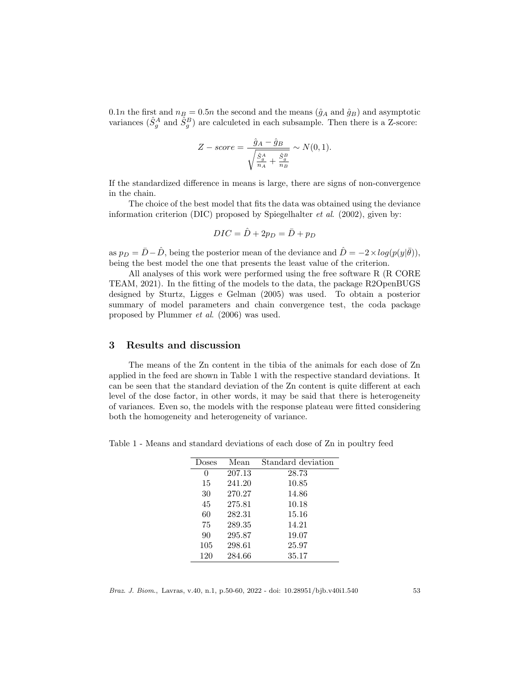0.1n the first and  $n_B = 0.5n$  the second and the means  $(\hat{g}_A$  and  $\hat{g}_B)$  and asymptotic variances  $(\hat{S}_g^A$  and  $\hat{S}_g^B)$  are calculeted in each subsample. Then there is a Z-score:

$$
Z-score = \frac{\hat{g}_A - \hat{g}_B}{\sqrt{\frac{\hat{S}_g^A}{n_A} + \frac{\hat{S}_g^B}{n_B}}} \sim N(0, 1).
$$

If the standardized difference in means is large, there are signs of non-convergence in the chain.

The choice of the best model that fits the data was obtained using the deviance information criterion (DIC) proposed by Spiegelhalter et al. (2002), given by:

$$
DIC = \hat{D} + 2p_D = \bar{D} + p_D
$$

as  $p_D = \bar{D} - \hat{D}$ , being the posterior mean of the deviance and  $\hat{D} = -2 \times log(p(y|\bar{\theta}))$ , being the best model the one that presents the least value of the criterion.

All analyses of this work were performed using the free software R (R CORE TEAM, 2021). In the fitting of the models to the data, the package R2OpenBUGS designed by Sturtz, Ligges e Gelman (2005) was used. To obtain a posterior summary of model parameters and chain convergence test, the coda package proposed by Plummer et al. (2006) was used.

#### 3 Results and discussion

The means of the Zn content in the tibia of the animals for each dose of Zn applied in the feed are shown in Table 1 with the respective standard deviations. It can be seen that the standard deviation of the Zn content is quite different at each level of the dose factor, in other words, it may be said that there is heterogeneity of variances. Even so, the models with the response plateau were fitted considering both the homogeneity and heterogeneity of variance.

Table 1 - Means and standard deviations of each dose of Zn in poultry feed

| Doses | Mean   | Standard deviation |
|-------|--------|--------------------|
| 0     | 207.13 | 28.73              |
| 15    | 241.20 | 10.85              |
| 30    | 270.27 | 14.86              |
| 45    | 275.81 | 10.18              |
| 60    | 282.31 | 15.16              |
| 75    | 289.35 | 14.21              |
| 90    | 295.87 | 19.07              |
| 105   | 298.61 | 25.97              |
| 120   | 284.66 | 35.17              |

Braz. J. Biom., Lavras, v.40, n.1, p.50-60, 2022 - doi: 10.28951/bjb.v40i1.540 53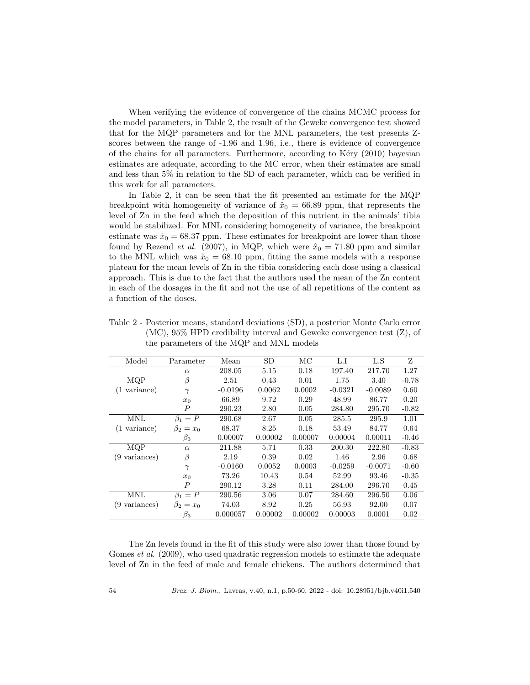When verifying the evidence of convergence of the chains MCMC process for the model parameters, in Table 2, the result of the Geweke convergence test showed that for the MQP parameters and for the MNL parameters, the test presents Zscores between the range of -1.96 and 1.96, i.e., there is evidence of convergence of the chains for all parameters. Furthermore, according to Kéry  $(2010)$  bayesian estimates are adequate, according to the MC error, when their estimates are small and less than 5% in relation to the SD of each parameter, which can be verified in this work for all parameters.

In Table 2, it can be seen that the fit presented an estimate for the MQP breakpoint with homogeneity of variance of  $\hat{x}_0 = 66.89$  ppm, that represents the level of Zn in the feed which the deposition of this nutrient in the animals' tibia would be stabilized. For MNL considering homogeneity of variance, the breakpoint estimate was  $\hat{x}_0 = 68.37$  ppm. These estimates for breakpoint are lower than those found by Rezend *et al.* (2007), in MQP, which were  $\hat{x}_0 = 71.80$  ppm and similar to the MNL which was  $\hat{x}_0 = 68.10$  ppm, fitting the same models with a response plateau for the mean levels of Zn in the tibia considering each dose using a classical approach. This is due to the fact that the authors used the mean of the Zn content in each of the dosages in the fit and not the use of all repetitions of the content as a function of the doses.

| Model                  | Parameter        | Mean      | <b>SD</b> | MC      | L.I       | L.S       | Z       |
|------------------------|------------------|-----------|-----------|---------|-----------|-----------|---------|
|                        | $\alpha$         | 208.05    | 5.15      | 0.18    | 197.40    | 217.70    | 1.27    |
| MQP                    | β                | 2.51      | 0.43      | 0.01    | 1.75      | 3.40      | $-0.78$ |
| $(1 \text{ variance})$ | $\gamma$         | $-0.0196$ | 0.0062    | 0.0002  | $-0.0321$ | $-0.0089$ | 0.60    |
|                        | $x_0$            | 66.89     | 9.72      | 0.29    | 48.99     | 86.77     | 0.20    |
|                        | $\boldsymbol{P}$ | 290.23    | 2.80      | 0.05    | 284.80    | 295.70    | $-0.82$ |
| <b>MNL</b>             | $\beta_1 = P$    | 290.68    | 2.67      | 0.05    | 285.5     | 295.9     | 1.01    |
| (1 variance)           | $\beta_2=x_0$    | 68.37     | 8.25      | 0.18    | 53.49     | 84.77     | 0.64    |
|                        | $\beta_3$        | 0.00007   | 0.00002   | 0.00007 | 0.00004   | 0.00011   | $-0.46$ |
| MQP                    | $\alpha$         | 211.88    | 5.71      | 0.33    | 200.30    | 222.80    | $-0.83$ |
| (9 variances)          | β                | 2.19      | 0.39      | 0.02    | 1.46      | 2.96      | 0.68    |
|                        | $\gamma$         | $-0.0160$ | 0.0052    | 0.0003  | $-0.0259$ | $-0.0071$ | $-0.60$ |
|                        | $x_0$            | 73.26     | 10.43     | 0.54    | 52.99     | 93.46     | $-0.35$ |
|                        | $\boldsymbol{P}$ | 290.12    | 3.28      | 0.11    | 284.00    | 296.70    | 0.45    |
| <b>MNL</b>             | $\beta_1 = P$    | 290.56    | 3.06      | 0.07    | 284.60    | 296.50    | 0.06    |
| (9 variances)          | $\beta_2=x_0$    | 74.03     | 8.92      | 0.25    | 56.93     | 92.00     | 0.07    |
|                        | $\beta_3$        | 0.000057  | 0.00002   | 0.00002 | 0.00003   | 0.0001    | 0.02    |

Table 2 - Posterior means, standard deviations (SD), a posterior Monte Carlo error (MC), 95% HPD credibility interval and Geweke convergence test (Z), of the parameters of the MQP and MNL models

The Zn levels found in the fit of this study were also lower than those found by Gomes *et al.* (2009), who used quadratic regression models to estimate the adequate level of Zn in the feed of male and female chickens. The authors determined that

54 Braz. J. Biom., Lavras, v.40, n.1, p.50-60, 2022 - doi: 10.28951/bjb.v40i1.540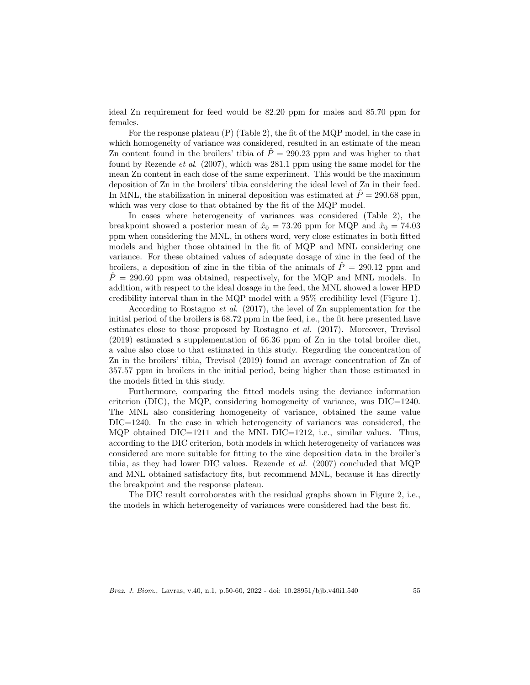ideal Zn requirement for feed would be 82.20 ppm for males and 85.70 ppm for females.

For the response plateau (P) (Table 2), the fit of the MQP model, in the case in which homogeneity of variance was considered, resulted in an estimate of the mean Zn content found in the broilers' tibia of  $\hat{P} = 290.23$  ppm and was higher to that found by Rezende *et al.* (2007), which was 281.1 ppm using the same model for the mean Zn content in each dose of the same experiment. This would be the maximum deposition of Zn in the broilers' tibia considering the ideal level of Zn in their feed. In MNL, the stabilization in mineral deposition was estimated at  $\dot{P} = 290.68$  ppm, which was very close to that obtained by the fit of the MQP model.

In cases where heterogeneity of variances was considered (Table 2), the breakpoint showed a posterior mean of  $\hat{x}_0 = 73.26$  ppm for MQP and  $\hat{x}_0 = 74.03$ ppm when considering the MNL, in others word, very close estimates in both fitted models and higher those obtained in the fit of MQP and MNL considering one variance. For these obtained values of adequate dosage of zinc in the feed of the broilers, a deposition of zinc in the tibia of the animals of  $\ddot{P} = 290.12$  ppm and  $\dot{P} = 290.60$  ppm was obtained, respectively, for the MQP and MNL models. In addition, with respect to the ideal dosage in the feed, the MNL showed a lower HPD credibility interval than in the MQP model with a 95% credibility level (Figure 1).

According to Rostagno et al. (2017), the level of Zn supplementation for the initial period of the broilers is 68.72 ppm in the feed, i.e., the fit here presented have estimates close to those proposed by Rostagno et al. (2017). Moreover, Trevisol (2019) estimated a supplementation of 66.36 ppm of Zn in the total broiler diet, a value also close to that estimated in this study. Regarding the concentration of Zn in the broilers' tibia, Trevisol (2019) found an average concentration of Zn of 357.57 ppm in broilers in the initial period, being higher than those estimated in the models fitted in this study.

Furthermore, comparing the fitted models using the deviance information criterion (DIC), the MQP, considering homogeneity of variance, was  $DIC=1240$ . The MNL also considering homogeneity of variance, obtained the same value DIC=1240. In the case in which heterogeneity of variances was considered, the MQP obtained DIC=1211 and the MNL DIC=1212, i.e., similar values. Thus, according to the DIC criterion, both models in which heterogeneity of variances was considered are more suitable for fitting to the zinc deposition data in the broiler's tibia, as they had lower DIC values. Rezende *et al.* (2007) concluded that MQP and MNL obtained satisfactory fits, but recommend MNL, because it has directly the breakpoint and the response plateau.

The DIC result corroborates with the residual graphs shown in Figure 2, i.e., the models in which heterogeneity of variances were considered had the best fit.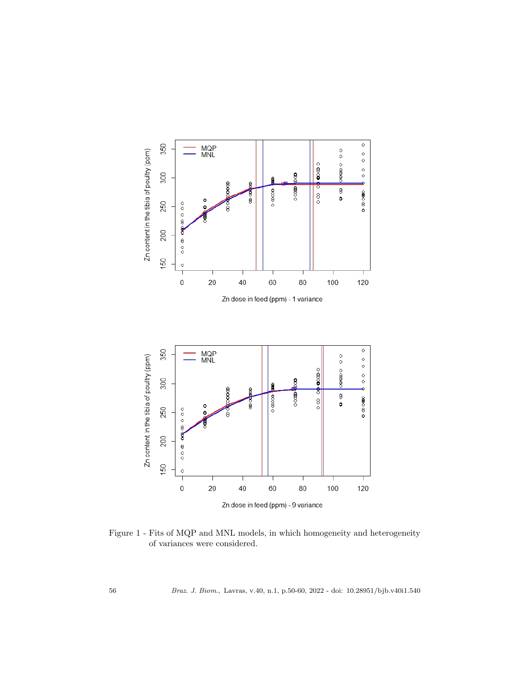

Figure 1 - Fits of MQP and MNL models, in which homogeneity and heterogeneity of variances were considered.

56 Braz. J. Biom., Lavras, v.40, n.1, p.50-60, 2022 - doi: 10.28951/bjb.v40i1.540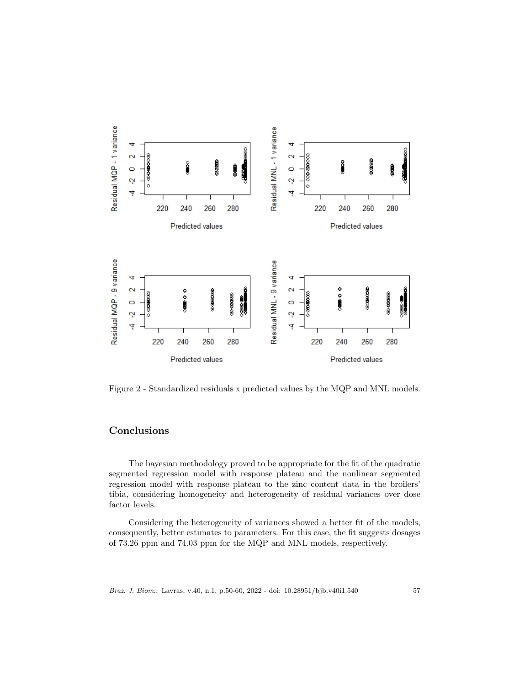

Figure 2 - Standardized residuals x predicted values by the MQP and MNL models.

# Conclusions

The bayesian methodology proved to be appropriate for the fit of the quadratic segmented regression model with response plateau and the nonlinear segmented regression model with response plateau to the zinc content data in the broilers' tibia, considering homogeneity and heterogeneity of residual variances over dose factor levels.

Considering the heterogeneity of variances showed a better fit of the models, consequently, better estimates to parameters. For this case, the fit suggests dosages of 73.26 ppm and 74.03 ppm for the MQP and MNL models, respectively.

Braz. J. Biom., Lavras, v.40, n.1, p.50-60, 2022 - doi: 10.28951/bjb.v40i1.540 57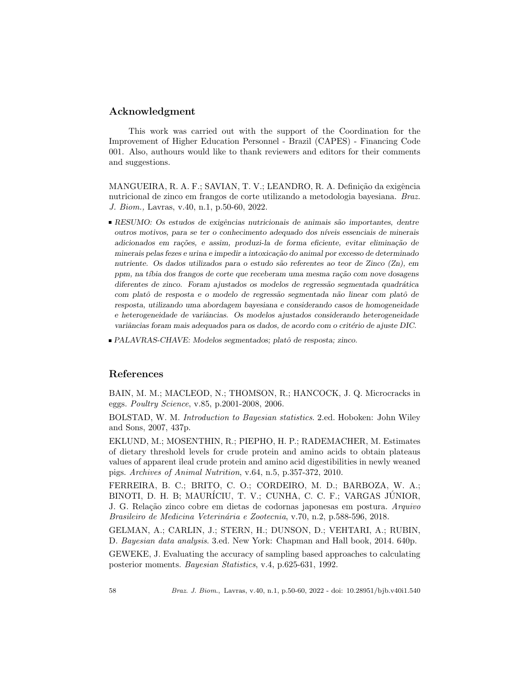## Acknowledgment

This work was carried out with the support of the Coordination for the Improvement of Higher Education Personnel - Brazil (CAPES) - Financing Code 001. Also, authours would like to thank reviewers and editors for their comments and suggestions.

MANGUEIRA, R. A. F.; SAVIAN, T. V.; LEANDRO, R. A. Definição da exigência nutricional de zinco em frangos de corte utilizando a metodologia bayesiana. Braz. J. Biom., Lavras, v.40, n.1, p.50-60, 2022.

- RESUMO: Os estudos de exigências nutricionais de animais são importantes, dentre outros motivos, para se ter o conhecimento adequado dos n´ıveis essenciais de minerais adicionados em rações, e assim, produzi-la de forma eficiente, evitar eliminação de minerais pelas fezes e urina e impedir a intoxicação do animal por excesso de determinado nutriente. Os dados utilizados para o estudo são referentes ao teor de Zinco (Zn), em ppm, na tíbia dos frangos de corte que receberam uma mesma ração com nove dosagens diferentes de zinco. Foram ajustados os modelos de regressão segmentada quadrática com platô de resposta e o modelo de regressão segmentada não linear com platô de resposta, utilizando uma abordagem bayesiana e considerando casos de homogeneidade e heterogeneidade de variâncias. Os modelos ajustados considerando heterogeneidade variâncias foram mais adequados para os dados, de acordo com o critério de ajuste DIC.
- $\blacksquare$ PALAVRAS-CHAVE: Modelos segmentados; platô de resposta; zinco.

#### References

BAIN, M. M.; MACLEOD, N.; THOMSON, R.; HANCOCK, J. Q. Microcracks in eggs. Poultry Science, v.85, p.2001-2008, 2006.

BOLSTAD, W. M. Introduction to Bayesian statistics. 2.ed. Hoboken: John Wiley and Sons, 2007, 437p.

EKLUND, M.; MOSENTHIN, R.; PIEPHO, H. P.; RADEMACHER, M. Estimates of dietary threshold levels for crude protein and amino acids to obtain plateaus values of apparent ileal crude protein and amino acid digestibilities in newly weaned pigs. Archives of Animal Nutrition, v.64, n.5, p.357-372, 2010.

FERREIRA, B. C.; BRITO, C. O.; CORDEIRO, M. D.; BARBOZA, W. A.; BINOTI, D. H. B; MAURÍCIU, T. V.; CUNHA, C. C. F.; VARGAS JÚNIOR, J. G. Relação zinco cobre em dietas de codornas japonesas em postura. Arquivo Brasileiro de Medicina Veterinária e Zootecnia, v.70, n.2, p.588-596, 2018.

GELMAN, A.; CARLIN, J.; STERN, H.; DUNSON, D.; VEHTARI, A.; RUBIN, D. Bayesian data analysis. 3.ed. New York: Chapman and Hall book, 2014. 640p.

GEWEKE, J. Evaluating the accuracy of sampling based approaches to calculating posterior moments. Bayesian Statistics, v.4, p.625-631, 1992.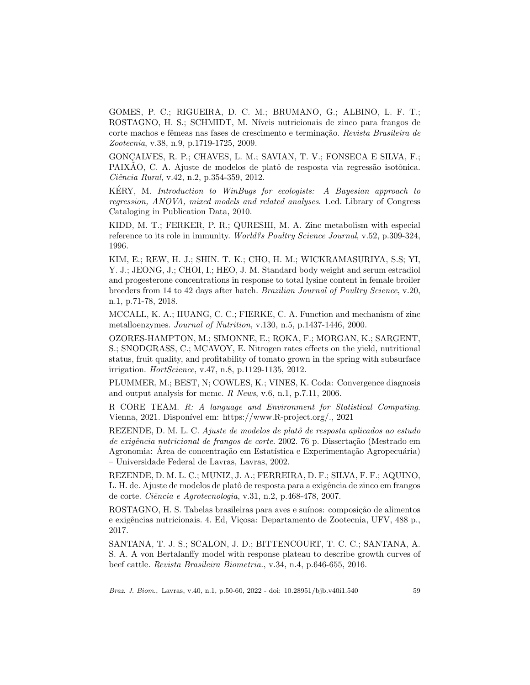GOMES, P. C.; RIGUEIRA, D. C. M.; BRUMANO, G.; ALBINO, L. F. T.; ROSTAGNO, H. S.; SCHMIDT, M. N´ıveis nutricionais de zinco para frangos de corte machos e fêmeas nas fases de crescimento e terminação. Revista Brasileira de Zootecnia, v.38, n.9, p.1719-1725, 2009.

GONÇALVES, R. P.; CHAVES, L. M.; SAVIAN, T. V.; FONSECA E SILVA, F.; PAIXAO, C. A. Ajuste de modelos de platô de resposta via regressão isotônica. Ciência Rural, v.42, n.2, p.354-359, 2012.

KERY, M. Introduction to WinBugs for ecologists: A Bayesian approach to regression, ANOVA, mixed models and related analyses. 1.ed. Library of Congress Cataloging in Publication Data, 2010.

KIDD, M. T.; FERKER, P. R.; QURESHI, M. A. Zinc metabolism with especial reference to its role in immunity. World?s Poultry Science Journal, v.52, p.309-324, 1996.

KIM, E.; REW, H. J.; SHIN. T. K.; CHO, H. M.; WICKRAMASURIYA, S.S; YI, Y. J.; JEONG, J.; CHOI, I.; HEO, J. M. Standard body weight and serum estradiol and progesterone concentrations in response to total lysine content in female broiler breeders from 14 to 42 days after hatch. Brazilian Journal of Poultry Science, v.20, n.1, p.71-78, 2018.

MCCALL, K. A.; HUANG, C. C.; FIERKE, C. A. Function and mechanism of zinc metalloenzymes. Journal of Nutrition, v.130, n.5, p.1437-1446, 2000.

OZORES-HAMPTON, M.; SIMONNE, E.; ROKA, F.; MORGAN, K.; SARGENT, S.; SNODGRASS, C.; MCAVOY, E. Nitrogen rates effects on the yield, nutritional status, fruit quality, and profitability of tomato grown in the spring with subsurface irrigation. HortScience, v.47, n.8, p.1129-1135, 2012.

PLUMMER, M.; BEST, N; COWLES, K.; VINES, K. Coda: Convergence diagnosis and output analysis for mcmc. R News, v.6, n.1, p.7.11, 2006.

R CORE TEAM. R: A language and Environment for Statistical Computing. Vienna, 2021. Disponível em: https://www.R-project.org/., 2021

REZENDE, D. M. L. C. Ajuste de modelos de platô de resposta aplicados ao estudo de exigência nutricional de frangos de corte. 2002. 76 p. Dissertação (Mestrado em Agronomia: Área de concentração em Estatística e Experimentação Agropecuária) – Universidade Federal de Lavras, Lavras, 2002.

REZENDE, D. M. L. C.; MUNIZ, J. A.; FERREIRA, D. F.; SILVA, F. F.; AQUINO, L. H. de. Ajuste de modelos de platô de resposta para a exigência de zinco em frangos de corte. Ciência e Agrotecnologia, v.31, n.2, p.468-478, 2007.

ROSTAGNO, H. S. Tabelas brasileiras para aves e suínos: composição de alimentos e exigências nutricionais. 4. Ed, Viçosa: Departamento de Zootecnia, UFV, 488 p., 2017.

SANTANA, T. J. S.; SCALON, J. D.; BITTENCOURT, T. C. C.; SANTANA, A. S. A. A von Bertalanffy model with response plateau to describe growth curves of beef cattle. Revista Brasileira Biometria., v.34, n.4, p.646-655, 2016.

Braz. J. Biom., Lavras, v.40, n.1, p.50-60, 2022 - doi: 10.28951/bjb.v40i1.540 59